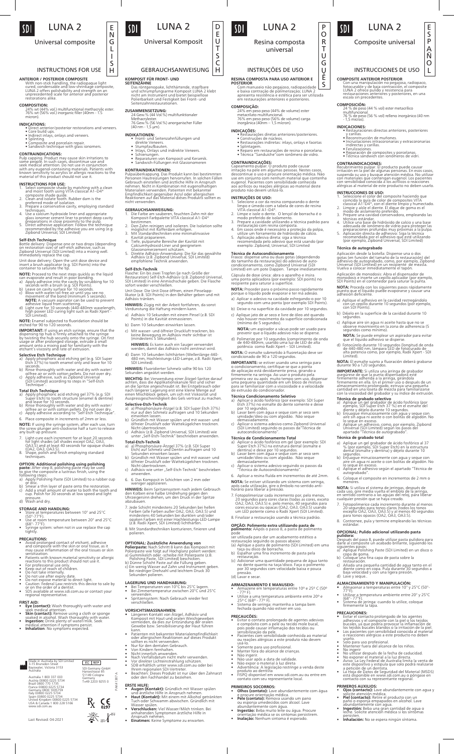

# LUNA 2

E N G L I S H  $SDI$ 

Universal composite

## INSTRUCTIONS FOR USE

**ANTERIOR / POSTERIOR COMPOSITE**<br>Curcle (Michard Poster)<br>Curcle (condensable and low-shrinkage composite<br>LUNA 2 offers polishability and strength on an<br>unprecedented scale for anterior and posterior<br>restorations alike.

**COMPOSITION:** 24% wt (44% vol.) multifunctional methacrylic ester. 76% wt (56% vol.) inorganic filler (40nm - 1.5 micron).

**INDICATIONS:**<br>
• Direct anterior/posterior restorations and veneers.<br>
• Core build ups.<br>
• Indirect inlays, onlays and veneers.<br>
• Splinting.<br>
• Composite and porcelain repair.<br>
• Sandwich technique with glass ionomers.

**CONTRAINDICATIONS:**<br> **CONTRAINDICATIONS:**<br>
Pulp capping. Product may cause skin irritations to<br>
some people. In such cases, discontinue use and<br>
with any eugenol-containing materials. Patients with<br>
known sensitivity to a

- 
- **INSTRUCTIONS FOR USE:**<br>1. Select composite shade by matching with a clean<br>and moist tooth using VITA classical A1–D4®<br>composite shade guide.<br>2. Clean and isolate tooth. Rubber dam is the
- 
- preferred mode of isolation. 3. Prepare a conservative cavity, employing standard
- techniques.<br>A Use a calcium hydroxide liner and appropriate<br>glass ionomer cement liner to protect deep cavity<br>preparations in Iose proximity to the pulp.<br>B. Direct adhesive application: Follow the technique<br>recommended by
- 

# **Self-Etch Technique**<br>Bottle delivery: Dispense one or two drops (depending<br>on restoration size) of self-etch adhesive, such as<br>Zipbond Universal (SDI Limited) into a mixing well.<br>Immediately replace the cap.

Unit dose delivery: Open the unit dose device and insert a brush applicator (e.g. SDI Points) into the container to saturate the tip.

- **NOTE:** Proceed to the next steps quickly as the liquid<br>can evaporate and result in poor bonding.<br>
a) Apply adhesive into the cavity by scrubbing for 10<br>
a) Apply adhesive into the cavity by scrubbing for 10<br>
b) Leave on c
- 
- 

**NOTE:** Enamel subjected to fluoridation should be etched for 90 to 120 seconds.

**IMPORTANT:** If using an etch syringe, ensure that the<br>di**spensing t**ip hub is firmly attached to the syringe<br>by twisting the hub securely onto the syringe. On first<br>usage or after prolonged storage, extrude a small<br>amount

**Selective Etch Technique**<br>A) Apply phosphoric acid etching gel (e.g. SDI Super<br>Etch 37%) to tooth enamel only and leave for 10<br>seconds.<br>b) Rinse thoroughly with water and dry with water/

oilfree air or with cotton pellets. Do not over dry.<br>c) Apply adhesive, such as Zipbond Universal<br>(SDI Limited) according to steps in "Self-Etch<br>Technique".

- **Total Etch Technique**<br>a) Apply phosphoric acid etching gel 37% (e.g. SDI<br>Super Etch) to tooth structure (enamel & dentine)<br>and leave for 10 seconds.<br>b) Rinse thoroughly with water and dry with water/
- 
- oilfree air or with cotton pellets. Do not over dry. c) Apply adhesive according to "Self Etch Technique".
- 6. Place composite in increments of 2mm or less.

**NOTE:** If using the syringe system, after each use, turn<br>the screw plunger anti-clockwise half a turn to release<br>any built up pressure.

- 7. Light-cure each increment for at least 20 seconds<br>(Of light shades (all shades except OA2, OA3,<br>(OA2, Dan da least 40 seconds for opaque shades<br>(OA2, OA3, OA3.5).<br>8. Shape, polish and finish employing standard<br>technique
- 

# **OPTION: Additional polishing using polishing<br><b>paste:** After step 8, polishing paste may be used<br>to give the composite a lustrous finish, using the

- 
- following steps:<br>a) Apply Polishing Paste (SDI Limited) to a rubber cup<br>a) Apply Polishing Paste (SDI Limited) to a rubber cup<br>b) Smear a thin layer of paste onto the restoration.<br>cup Add a small amount of water to both th
- 

## **STORAGE AND HANDLING:**  • Store at temperatures between 10° and 25°C

- (50°-77°F). Use at room temperature between 20° and 25°C
- (68°- 77°F). Syringe system: when not in use replace the cap tightly.

## **PRECAUTIONS:**

- 
- Avoid prolonged contact of etchant, adhesive and composite with the skin or oral tissue, as it may cause inflammation of the oral tissues or skin space and the patients with known material sensitivity or allergic<br>• Patie
- reactions to this product should not use it.<br>• For professional use only.<br>• Neep out of reach of children.<br>• Do not take internally.<br>• Do not taxe after expiry date.<br>• Do not expose material to direct light.<br>• Caution: Fed
- 
- 
- 
- or on the order of a dentist. SDS available at www.sdi.com.au or contact your regional representative.
- 

- **FIRST AID:**<br>• **Eye (contact):** Wash thoroughly with water and
- seek medical attention.<br>Skin (contact): Remove using a cloth or sponge soaked in alcohol. Wash thoroughly with water.<br>Ingestion: Dirix plenty of water/milk. Seek<br>medical attention if symptoms persist.<br>Inhalation: No sympto
- 

## Made in Australia by SDI Limited 3-15 Brunsdon Street Bayswater, Victoria 3153 Australia EC REP SDI Germany GmbH Hansestrasse 85 51149 Cologne Australia 1 800 337 003 Austria 00800 0225 5734 Brazil 0800 770 1735 France 00800 0225 5734 Germany 0800 1005759 Italy 00800 0225 5734 Spain 00800 0225 5734 Germany T+49 2203 9255 0 $R_{\rm X}$   $\zeta$

10°C 50°F 25°C 77°F

PAK41387 A

 $\blacksquare$ 

AK41387

United Kingdom 00800 0225 5734 USA & Canada 1 800 228 5166 www.sdi.com.au



GEBRAUCHSANWEISUNG C H

**RESINA COMPOSTA PARA USO ANTERIOR E POSTERIOR**

INSTRUÇÕES DE USO

LUNA 2

P O R T U G U Ê S

 $SDI$ 

Resina composta universal

24% em peso peso (44% de volume) ester metacrilato multifuncional. 76% em peso peso (56% de volume) carga inorgânica (40nm – 1,5 mícron).

• Restaurações diretas anteriores/posteriores. • Construções de núcleos. • Restaurações indiretas: inlays, onlays e facetas • Splintagem. • Reparo em restaurações de resina e porcelana. • Técnica "Sanduíche"com ionômero de vidro.

**CONTRAINDICAÇOES:**<br>Capeamento pulpar. O produto pode causar<br>irritação na pele em algumas pessoas. Nestes casos,<br>descontinue o uso e procure orientação médica. Não<br>use em conjunto com nenhum material que contenha<br>eugenol.

**INSTRUÇOES DE USO:**<br>
Alecione a cor da resina comparando o dente<br>
limpo e úmedo com a tabela de cores de resina<br>
VITA classical A1-D4\*.<br>
2. Limpe e isole o dente. O lençol de borracha é o<br>
3. Prepare a cavidade utilizando

**Técnica de Autocondicionamento**<br>Frasco: dispense uma ou duas gotas (dependendo<br>do tamanho da restauração) do adesivo de auto-<br>condicionamento, como Zipbond Universal (SDI<br>Limited) em um pote Dappen. Tampe imediatamente.

Cápsula de dose única: abra o aparelho e insira uma ponta aplicadora (por exemplo: SDI points) no recipiente para saturar a superfície. **NOTA:** Proceder para o próximo passo rapidamente porque o líquido pode evaporar e ter má adesão. a) Aplicar o adesivo na cavidade esfregando-o por 10 segundo com uma ponta (por exemplo SDI Points). b) Deixe-o na superfície da cavidade por 10 segundos. c) Aplique jato de ar seco e livre de óleo até quando não houver movimento da superfície condicionada (mínimo de 5 segundos). **NOTA:** um aspirador a vácuo pode ser usado para prevenir que o líquido adesivo não se disperse. d) Polimerize por 10 segundos (comprimento de onda de 440-480nm, usando uma luz de LED de alta potência como Radii Xpert – SDI Limited). **NOTA:** O esmalte submetido à fluoretação deve ser condicionado de 90 a 120 segundos.

**IMPORTANTE:** se estiver usando uma seringa para<br>o condicionamento, certifque-se que a ponta<br>de aplicação está devidamente presa, girando-a<br>firmemente na seringa. Ao usar o produto pela<br>primeira vez ou após muito tempo sem

**Técnica Condicionamento Seletivo**<br>a) Aplicaro ácido fosfórico (por exemplo: SDI Super<br>Etch 37%) no esmalte do dente somente e deixe<br>b) Lavar bem com água e seque com ar seco sem<br>b) Lavar bem com água e seque com ar seco s

demasiadamente.<br>c) Aplicar o sistema adesivo como Zipbond Universal<br>(SDI Limited) seguindo os passos da "Técnica de<br>autocondicionamento".

**Técnica de Condicionamento Total**<br> **a)** Aplicar o ácido fosfórico em gel (por exemplo: SDI<br>
Super Etch 37%) na estrutura dental (esmalte e<br>
dentina) e deixe por 10 segundos.<br>
b) Lavar bem com água e seque com ar seco sem<br>

6. Aplicar a resina fluída em incrementos de até 2mm. **NOTA:** Se estiver utilizando um sistema com seringa, após cada utilização, gire o êmbolo no sentido anti-horário para liberar a pressão.

7. Fotopolimerizar cada incremento por, pelo menos,<br>20 segundos para cores claras (todas as cores, exceto<br>OA2, OA3, OA3.5) e, pelo menos, 40 segundos para<br>cores escuras ou opacas (OA2, OA3, OA3.5) usando<br>um LED potente com 8. Finalizar a restauração usando a técnica padrão. **OPÇÃO: Polimento extra utilizando pasta de polimento:** AApós o passo 8, a pasta de polimento

pode<br>ser utilizada para dar um acabamento estético a<br>restauração seguindo os passos abaixo:<br>(a) Aplique a pasta de polimento (SDI Limited) em uma<br>taça ou disco de borracha.<br>b) Espalhar uma fina incremento de pasta pela<br>res

(c) Adicionar uma quantidade pequena de água tanto no dente quanto na taça/disco. Faça o polimento por 30 segundos com velocidade baixa e pouca

**ARMAZENAMENTO E MANUSEIO:**  • Armazene em temperaturas entre 10º e 25º C (50º - 77º F). • Utilize a uma temperatura ambiente entre 20º e 25º C (68º - 77º F). • Sistema de seringa: mantenha a tampa bem fechada quando não estiver em uso.

**PRECAUCOES:**<br>
• Evitar o contato prolongado de agentes adesivos<br>
• Evitar o contato prolongado dos tecido mole bucal,<br>
pois pode causar inflamação dos tecidos ou<br>
• Pacientes com sensibilização da pele.<br>
• Pacientes com s

• Não ingerir.<br>• Não usar após a data de validade.<br>• Não expor o material à luz direta<br>• Avertencia: A legislação restringe a venda deste<br>• FISPQ disponível em www.sdi.com.au ou entre em<br>• FISPQ disponível em www.sdi.com.a

**PRIMEIROS SOCORROS:**<br>
• **Olhos (contato):** Lave abundantemente com água<br>
• procure orientação médica.<br>
• Pele (contato): Remova usando um pano<br>
<sup>•</sup> De (contato): Remova usando ou esponja umedecidos com álcool. Lave<br>
abund

orientação médica se os sintomas persistirem. **• Inalação:** Nenhum sintoma é esperado.

Fomente para uso profissional.<br>Manter fora do alcance de crianças.

pressão. (d) Lavar e secar.

**COMPOSIÇÃO:**

SDI

D E  $\overline{\mathsf{u}}$ T S

**INDICAÇÕES:**

Com manuseio não pegajoso, radiopacidade |<br>e baixa contração de polimerização; LUNA 2<br>apresenta resistência e estética para ser utilizada<br>em restaurações anteriores e posteriores.

INSTRUCCIONES DE USO

multifuncional. 76 % de peso (56 % vol) relleno inorgánico (40 nm - 1,5 micras).

**INDICACIONES:**<br>
• Restauraciones directas anteriores, posteriores<br>
• y carillas.<br>
• Reconstrucción de muñones.<br>
• Incrustaciones intracoronarias y extracoronarias<br>
• indirectas y carillas.<br>
• Ferulizaciones.<br>
• Ferulizaci

**CONTRAINDICACIONES:**<br>Recubrimiento pulpar. El producto puede causar<br>irritación en la piel de algunas personas. En esos casos,<br>suspenda su uso y busque atención médica. No utilizar<br>con materiales que contengan eugenol. Los

1. Seleccione el color del composite haciendo que<br>coincida la guía de color de composites VITA<br>classical A1–D4®, con el diente limpio y humectado.<br>2. Limpie y aísle el diente. El dique de goma es el modo de aislamiento preferido. 3. Prepare una cavidad conservadora, empleando las

técnicas estándar.<br>4. Útilice una base de hidróxido de calcio y una base<br>adecuada de ionómero de vidro para proteger las<br>preparaciones profundas muy proximas a la pulpa.<br>5. Áplicación directa de adhesivo: Siga la técnica<br>r

**Técnica de autograbado**<br>Aplicación desde la botella: Dispense una o dos<br>gotas (en función del tamaño de la restauración) del<br>adhesivo de autograbado, como, por ejemplo, Zipbond<br>Universal (SDI Limited) en un recipiente de

Aplicación de monodosis: Abra el dispensador de<br>monodosis e inserte un cepillo aplicador (por ejemplo,<br>SDI Points) en el contenedor para saturar la punta.<br>N**OTA:** Proceda con los siguientes pasos rápidamente<br>puesto que el

a) Aplique el adhesivo en la cavidad restregándolo con un cepillo durante 10 segundos (por ejemplo, con SDI Points). b) Déjelo en la superficie de la cavidad durante 10 segundos. c) Aplique aire sin agua ni aceite hasta que no se observe movimiento en la zona de adherencia (5 segundos como mínimo).

**NOTA:** Se puede emplear un aspirador para evitar<br>que el líquido adhesivo se disperse.<br>d) Fotocúrelo durante 10 segundos (longitud de onda<br>de 440-480 nm, lámpara LED de fotocurado de<br>alta potencia como, por ejemplo, Radii

**NOTA:** El esmalte sujeto a fluoración deberá grabarse durante 90 a 120 segundos.

**IMPORTANTE:** Si utiliza una jeringa de grabador<br>asegúrese de que la punta dispensadora esté<br>firmemente adherida a la jeringa, girándola<br>firmemente en ella. En el primer uso o después de un<br>almacenamiento prolongado, extru

con la viscosidad del grabador y su índice de extrusión.<br>**Técnica de grabado selectivo**<br> **a)** Aplique un gel gra**bador de** ácido fosfórico (por elemplo, SDI Super Etch 37 %) en el esmalte del<br>
dente y déjelo durante 10 seg

a) Aplique un gel grabador de ácido fosfórico al 37<br>% (por ejemplo, SDI Super Etch) en la estructura<br>dental (esmalte y dentina) y déjelo durante 10<br>b egundos.<br>b) Enjuague minuciosamente con agua y seque con<br>aire sin agua n

6. Coloque el composite en incrementos de 2 mm o menores. **NOTA:** Si utiliza el sistema de jeringas, después de<br>cada uso, gire media vuelta el embolo de la jeringa,<br>en sentido contrario a las agujas del reloj, para liberar<br>cualquier presión que se haya creado.

7. Fotopolimerice cada incremento durante al menos 20 segundos para tonos claros (todos los tonos excepto OA2, OA3, OA3.5) y al menos 40 segundos para tonos opacos (OA2, OA3, OA3.5). 8. Contornee, pula y termine empleando las técnicas estándar. **OPCIONAL: Pulido adicional utilizando pasta pulidora:**  Después del paso 8, puede utilizar pasta pulidora para darle al composite un acabado brillante, siguiendo los<br>siguientes pasos:<br>a) Aplique Polishing Paste (SDI Limited) en un disco o<br>b) Coloque una fina capa de pasta sobre la<br>b) Coloque una fina capa de pasta sobre la

restauración.<br>c) Añada una pequeña cantidad de agua tanto en el<br>diente como en copa. Pula durante 30 segundos a<br>baja velocidad y con una ligera presión.<br>d) Lave y seque..

**ALMACENAMIENTO Y MANIPULACIÓN:**  • Almacenar a temperaturas entre 10° y 25°C (50°- 77°F). • Utilizar a temperatura ambiente entre 20° y 25°C (68°- 77°F). • Sistema de jeringa: cuando lo utilice, coloque firmemente la tapa.

**PRECAUCIONES:**<br>
• Evitar el contacto prolongado de los agentes<br>
• adhesivos y el composite con la piel o los tejidos<br>
bucales, ya que podría provocar la inflamación de<br>
bucales, ya que podría provocar la inflamación<br>
• Lo

usarlo.<br>
• Mantener fuera del alcance de los niños.<br>
• Mantener fuera del alcance de los niños.<br>
• No utilizar después de la fecha de caducidad.<br>
• No utilizar después de la fecha de caducidad.<br>
• No exponer el material a

• **Ojos (contacto):** Lave abundantemente con agua y solicite atención médica. • **Piel (contacto):** Retire el producto con un paño o esponja empapados en alcohol. Lave abundantemente con agua. • **Ingestión:** Beba una gran cantidad de agua o leche. Solicite atención médica si los síntomas persisten.<br>**Inhalación:** No se espera ningún síntoma.

**PRIMEROS AUXILIOS:**

**INSTRUCCIONES DE USO:**<br>**INSTRUCCIONES DE USO:**<br>INSTRUCCIONE el color del co

**COMPOSITE ANTERIOR POSTERIOR<br>Con una manipulación no pegajosa, radiopaco, con una manipulación no pegajosa, radiopaco, el composite** fotocurable y de baja contracción, el composite LUNA 2 ofrece pulido y resistencia para restauraciones anteriores y posteriores, en una escala sin precedentes.

**COMPOSICION:**<br>
24 % de peso (44 % vol) ester metacrílico

LUNA 2

E S P A Ñ O L

Composite universal

## **KOMPOSIT FÜR FRONT- UND**

**SEITENZÄHNE**<br>Das röntgenopake, lichthärtende, stopfbare<br>und schrumpfungsarme Komposit LUNA 2 klebt<br>nicht am Instrument und bietet beispiellose<br>Polierbarkeit und Festigkeit bei Front- und<br>Seitenzahnrestaurationen.

## **ZUSAMMENSETZUNG:** 24 Gew.% (44 Vol.%) multifunktionaler

- Methacrylester. 76 Gew.% (56 Vol.%) anorganischer Füller (40 nm 1,5 µm).
- **INDIKATIONEN:**
- Front- und Seitenzahnfüllungen und direkte Veneers.
- 
- Stumpfaufbauten. Inlays, Onlays und indirekte Veneers. Schienungen. Reparaturen von Komposit und Keramik. Sandwich-Füllungen mit Glasionomeren

**KONTRAINDIKATIONEN:**<br>Pulpaüberkappung. Das Produkt kann bei bestimmten<br>Personen Hautreizungen hervorrufen. In solchen Fällen<br>Gebrauch einstellen und ärztliche Hilfe in Anspruch<br>nehmen. Nicht in Kombination mit eugenolhalt Empfindlichkeit gegenüber Acryl oder allergischen Reaktionen auf das Material dieses Produkts sollten es nicht verwenden.

- **GEBRAUCHSANWEISUNG:** 1. Die Farbe am sauberen, feuchten Zahn mit der Komposit-Farbpalette VITA classical A1–D4®
- bestimmen.<br>2. Den Zahn reinigen und isolieren. Die Isolation sollte<br>2. Den Zahn reinigen und isolieren erfolgen.<br>3. Mit Standardtechniken eine minimalinvasive<br>4. Tefe, pulpanahe Bereiche der Kavität mit<br>3. Die kapianahe Be
- 
- 

**Self-Etch-Technik**<br>**Flasche: Eichnik**<br>Restauration) Self-Etch-Adhäsiv (z.B. Zipbond Universal,<br>SDI Limited) in eine Anmischschale geben. Die Flasche<br>sofort wieder verschließen.

- Unit Dose: Die Unit Dose öffnen, einen Pinselapp-likator (z.B. SDI Points) in den Behälter geben und mit Adhäsiv tränken.
- **HINWEIS:** Zügig mit der Arbeit fortfahren, da sonst Verdunstung die Haftung mindern kann.
- a) Adhäsiv 10 Sekunden mit einem Pinsel (z.B. SDI Points) in die Kavität einmassieren.
- b) Dann 10 Sekunden einwirken lassen.
- c) Mit wasser- und ölfreier Druckluft trocknen, bis keine Bewegung im Adhäsiv mehr sichtbar ist (mindestens 5 Sekunden).
- **HINWEIS:** Es kann auch ein Sauger verwendet werden, damit das Adhäsiv nicht zerstreut wird. d) Dann 10 Sekunden lichthärten (Wellenlänge 440- 480 nm, Hochleistungs-LED-Lampe, z.B. Radii Xpert, SDI Limited).
- **HINWEIS:** Fluoridierter Schmelz sollte 90 bis 120 Sekunden angeätzt werden.

**WICHTIG:** Bei Verwendung einer Atzgel-Spritze darauf<br>achten, dass die Applikationskanüle fest und sicher<br>an die Spritze angeschraubt ist. Bei Erstgebrauch oder<br>nach längerer Lagerung erst eine kleine Menge auf<br>einen Misch Auspressgeschwindigkeit des Gels vertraut zu machen.

- 
- Selective-Etch-Technik<br>
a) a) Phosphorsäure-Ätzgel (z.B. SDI Super Etch 37%)<br>
nur auf den Schmelz auftragen und 10 Sekunden<br>
beinwirken lassen.<br>
b) Gründlich mit Wasser spülen und mit wasser- und<br>
b) Gründlich mit Wasser
- 
- **Total-Etch-Technik** a) a) Phosphorsäure-Ätzgel 37% (z.B. SDI Super Etch) auf Schmelz und Dentin auftragen und 10 Sekunden einwirken lassen.
- 
- b) Gründlich mit Wasser spülen und mit wasser- und ölfreier Druckluft oder Wattekügelchen trocknen. Nicht übertrocknen. c) Adhäsiv wie unter "Self-Etch-Technik" beschrieben anwenden.
- 6. 6. Das Komposit in Schichten von 2 mm oder weniger applizieren.

**HINWEIS:** Beim Spritzensystem nach jedem Gebrauch<br>den Kolben eine halbe Umdrehung gegen den<br>Uhrzeigersinn drehen, um den Druck in der Spritze<br>abzubauen.

- 7. Jede Schicht mindestens 20 Sekunden bei hellen<br>Farben (alle Farben außer OA2, OA3, OA3.5) und<br>mindestens 40 Sekunden bei dunklen und/oder<br>opaken Farben mit einer Hochleistungs-LED-Lampe<br>(z.B. Radii Xpert, SDI Limited) l
- 8. Mit Standardtechniken konturieren, finieren und

polieren.

- **OPTIONAL: Zusätzliche Anwendung von**<br>**OPTIONAL: Zusätzliche Anwendung von**<br>Polierpaste wie folgt auf Hochglanz poliert werden:<br>A Commikelch oder -scheibe mit Polierpaste (z.B.<br>Polishing Paste, SDI Limited) beschicken.<br>Dip
- 

**LAGERUNG UND HANDHABUNG:<br>• Bei Temperaturen von 10°C bis 25°C lagern.<br>• Bei Zimmertemperatur zwischen 20°C und 25°C** verwenden. • Spritzensystem: Nach Gebrauch wieder fest verschließen.

**VORSICHTSMASSNAHMEN:**<br>• Längeren Kontakt von Ätzgel, Adhäsiv und Komposit mit Haut und oralen Weichgeweben<br>vermeiden, da dies zur Entzündung der oralen<br>Gewebe bzw. Sensibilisierung der Haut führen

kann.<br>
• Ratienten mit bekannter Materialempfindlichkeit<br>
• der allergischen Reaktionen auf dieses Produkt<br>
• Nur für den dentalen Gebrauch.<br>
• Nur für den dentalen Gebrauch.<br>
• Nur für den dentalen Gebrauch.<br>
• Nicht inne

**ERSTE HILFE:**<br>• Augen (Kontakt): Gründlich mit Wasser spülen<br>• und ärztliche Hilfe in Anspruch nehmen.<br>• Haut (Kontakt): Mit einem mit Alkohol getränkten<br>Tuch oder Schwamm abwischen. Gründlich mit<br>Wasser spülen.

• **Verschlucken:** Viel Wasser/Milch trinken. Bei anhaltenden Symptomen ärztliche Hilfe in Anspruch nehmen. **• Einatmen:** Keine Symptome zu erwarten.